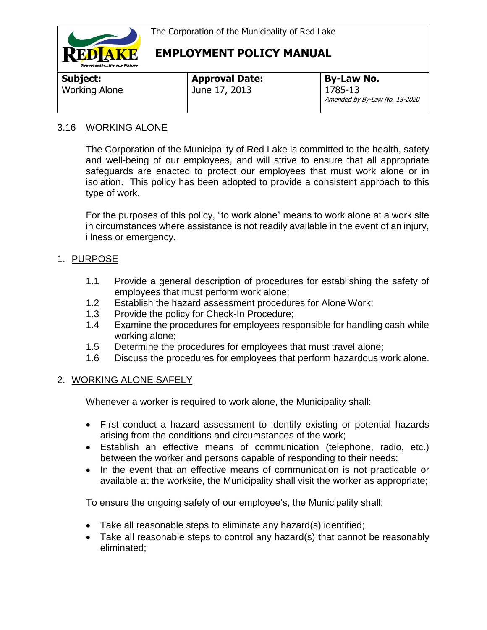

| <b>Approval Date:</b> | <b>By-Law No.</b>                        |
|-----------------------|------------------------------------------|
| June 17, 2013         | 1785-13<br>Amended by By-Law No. 13-2020 |
|                       |                                          |

### 3.16 WORKING ALONE

The Corporation of the Municipality of Red Lake is committed to the health, safety and well-being of our employees, and will strive to ensure that all appropriate safeguards are enacted to protect our employees that must work alone or in isolation. This policy has been adopted to provide a consistent approach to this type of work.

For the purposes of this policy, "to work alone" means to work alone at a work site in circumstances where assistance is not readily available in the event of an injury, illness or emergency.

## 1. PURPOSE

- 1.1 Provide a general description of procedures for establishing the safety of employees that must perform work alone;
- 1.2 Establish the hazard assessment procedures for Alone Work;
- 1.3 Provide the policy for Check-In Procedure;
- 1.4 Examine the procedures for employees responsible for handling cash while working alone;
- 1.5 Determine the procedures for employees that must travel alone;
- 1.6 Discuss the procedures for employees that perform hazardous work alone.

## 2. WORKING ALONE SAFELY

Whenever a worker is required to work alone, the Municipality shall:

- First conduct a hazard assessment to identify existing or potential hazards arising from the conditions and circumstances of the work;
- Establish an effective means of communication (telephone, radio, etc.) between the worker and persons capable of responding to their needs;
- In the event that an effective means of communication is not practicable or available at the worksite, the Municipality shall visit the worker as appropriate;

To ensure the ongoing safety of our employee's, the Municipality shall:

- Take all reasonable steps to eliminate any hazard(s) identified;
- Take all reasonable steps to control any hazard(s) that cannot be reasonably eliminated;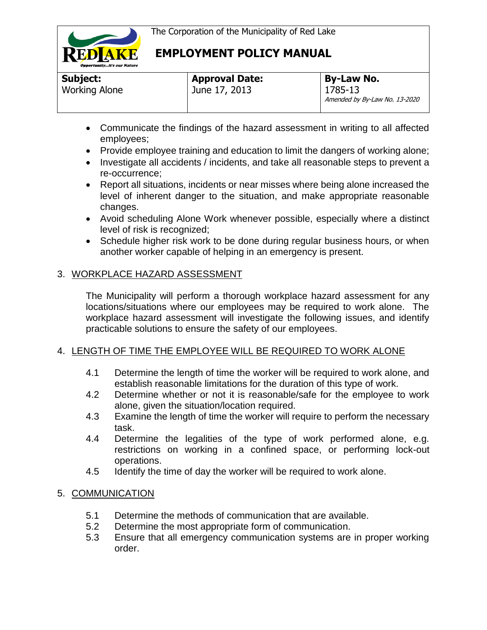

**Subject:**  Working Alone

# **EMPLOYMENT POLICY MANUAL**

| <b>Approval Date:</b> | <b>By-Law No.</b>                        |
|-----------------------|------------------------------------------|
| June 17, 2013         | 1785-13<br>Amended by By-Law No. 13-2020 |

- Communicate the findings of the hazard assessment in writing to all affected employees;
- Provide employee training and education to limit the dangers of working alone;
- Investigate all accidents / incidents, and take all reasonable steps to prevent a re-occurrence;
- Report all situations, incidents or near misses where being alone increased the level of inherent danger to the situation, and make appropriate reasonable changes.
- Avoid scheduling Alone Work whenever possible, especially where a distinct level of risk is recognized;
- Schedule higher risk work to be done during regular business hours, or when another worker capable of helping in an emergency is present.

### 3. WORKPLACE HAZARD ASSESSMENT

The Municipality will perform a thorough workplace hazard assessment for any locations/situations where our employees may be required to work alone. The workplace hazard assessment will investigate the following issues, and identify practicable solutions to ensure the safety of our employees.

### 4. LENGTH OF TIME THE EMPLOYEE WILL BE REQUIRED TO WORK ALONE

- 4.1 Determine the length of time the worker will be required to work alone, and establish reasonable limitations for the duration of this type of work.
- 4.2 Determine whether or not it is reasonable/safe for the employee to work alone, given the situation/location required.
- 4.3 Examine the length of time the worker will require to perform the necessary task.
- 4.4 Determine the legalities of the type of work performed alone, e.g. restrictions on working in a confined space, or performing lock-out operations.
- 4.5 Identify the time of day the worker will be required to work alone.

### 5. COMMUNICATION

- 5.1 Determine the methods of communication that are available.
- 5.2 Determine the most appropriate form of communication.
- 5.3 Ensure that all emergency communication systems are in proper working order.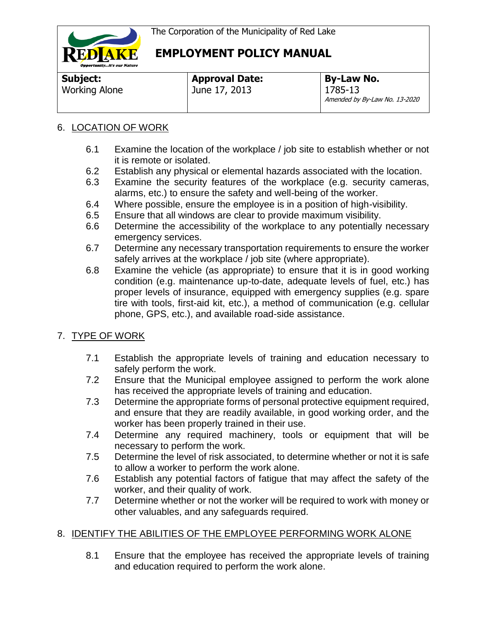

**Subject:**  Working Alone **Approval Date:** June 17, 2013

**By-Law No.** 1785-13 Amended by By-Law No. 13-2020

## 6. LOCATION OF WORK

- 6.1 Examine the location of the workplace / job site to establish whether or not it is remote or isolated.
- 6.2 Establish any physical or elemental hazards associated with the location.
- 6.3 Examine the security features of the workplace (e.g. security cameras, alarms, etc.) to ensure the safety and well-being of the worker.
- 6.4 Where possible, ensure the employee is in a position of high-visibility.
- 6.5 Ensure that all windows are clear to provide maximum visibility.
- 6.6 Determine the accessibility of the workplace to any potentially necessary emergency services.
- 6.7 Determine any necessary transportation requirements to ensure the worker safely arrives at the workplace / job site (where appropriate).
- 6.8 Examine the vehicle (as appropriate) to ensure that it is in good working condition (e.g. maintenance up-to-date, adequate levels of fuel, etc.) has proper levels of insurance, equipped with emergency supplies (e.g. spare tire with tools, first-aid kit, etc.), a method of communication (e.g. cellular phone, GPS, etc.), and available road-side assistance.

## 7. TYPE OF WORK

- 7.1 Establish the appropriate levels of training and education necessary to safely perform the work.
- 7.2 Ensure that the Municipal employee assigned to perform the work alone has received the appropriate levels of training and education.
- 7.3 Determine the appropriate forms of personal protective equipment required, and ensure that they are readily available, in good working order, and the worker has been properly trained in their use.
- 7.4 Determine any required machinery, tools or equipment that will be necessary to perform the work.
- 7.5 Determine the level of risk associated, to determine whether or not it is safe to allow a worker to perform the work alone.
- 7.6 Establish any potential factors of fatigue that may affect the safety of the worker, and their quality of work.
- 7.7 Determine whether or not the worker will be required to work with money or other valuables, and any safeguards required.

## 8. IDENTIFY THE ABILITIES OF THE EMPLOYEE PERFORMING WORK ALONE

8.1 Ensure that the employee has received the appropriate levels of training and education required to perform the work alone.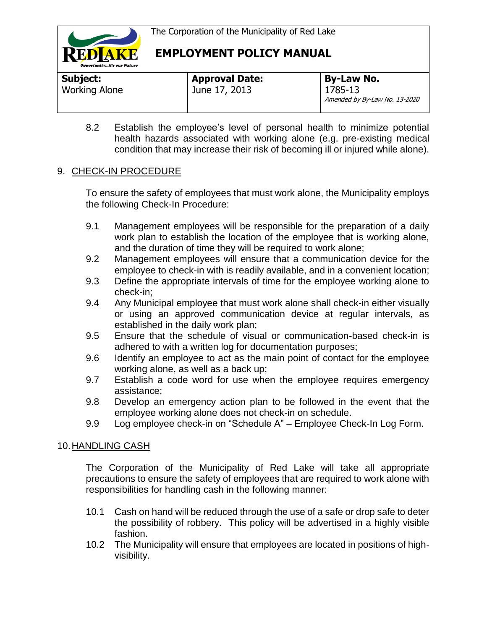

| Subject:             | <b>Approval Date:</b> | <b>By-Law No.</b>                        |
|----------------------|-----------------------|------------------------------------------|
| <b>Working Alone</b> | June 17, 2013         | 1785-13<br>Amended by By-Law No. 13-2020 |

8.2 Establish the employee's level of personal health to minimize potential health hazards associated with working alone (e.g. pre-existing medical condition that may increase their risk of becoming ill or injured while alone).

### 9. CHECK-IN PROCEDURE

To ensure the safety of employees that must work alone, the Municipality employs the following Check-In Procedure:

- 9.1 Management employees will be responsible for the preparation of a daily work plan to establish the location of the employee that is working alone, and the duration of time they will be required to work alone;
- 9.2 Management employees will ensure that a communication device for the employee to check-in with is readily available, and in a convenient location;
- 9.3 Define the appropriate intervals of time for the employee working alone to check-in;
- 9.4 Any Municipal employee that must work alone shall check-in either visually or using an approved communication device at regular intervals, as established in the daily work plan;
- 9.5 Ensure that the schedule of visual or communication-based check-in is adhered to with a written log for documentation purposes;
- 9.6 Identify an employee to act as the main point of contact for the employee working alone, as well as a back up;
- 9.7 Establish a code word for use when the employee requires emergency assistance;
- 9.8 Develop an emergency action plan to be followed in the event that the employee working alone does not check-in on schedule.
- 9.9 Log employee check-in on "Schedule A" Employee Check-In Log Form.

## 10.HANDLING CASH

The Corporation of the Municipality of Red Lake will take all appropriate precautions to ensure the safety of employees that are required to work alone with responsibilities for handling cash in the following manner:

- 10.1 Cash on hand will be reduced through the use of a safe or drop safe to deter the possibility of robbery. This policy will be advertised in a highly visible fashion.
- 10.2 The Municipality will ensure that employees are located in positions of highvisibility.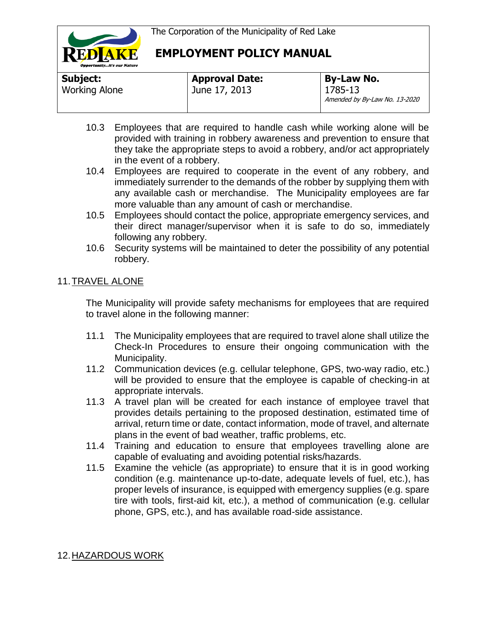

| Subject:             | <b>Approval Date:</b> | <b>By-Law No.</b>                        |
|----------------------|-----------------------|------------------------------------------|
| <b>Working Alone</b> | June 17, 2013         | 1785-13<br>Amended by By-Law No. 13-2020 |

- 10.3 Employees that are required to handle cash while working alone will be provided with training in robbery awareness and prevention to ensure that they take the appropriate steps to avoid a robbery, and/or act appropriately in the event of a robbery.
- 10.4 Employees are required to cooperate in the event of any robbery, and immediately surrender to the demands of the robber by supplying them with any available cash or merchandise. The Municipality employees are far more valuable than any amount of cash or merchandise.
- 10.5 Employees should contact the police, appropriate emergency services, and their direct manager/supervisor when it is safe to do so, immediately following any robbery.
- 10.6 Security systems will be maintained to deter the possibility of any potential robbery.

## 11.TRAVEL ALONE

The Municipality will provide safety mechanisms for employees that are required to travel alone in the following manner:

- 11.1 The Municipality employees that are required to travel alone shall utilize the Check-In Procedures to ensure their ongoing communication with the Municipality.
- 11.2 Communication devices (e.g. cellular telephone, GPS, two-way radio, etc.) will be provided to ensure that the employee is capable of checking-in at appropriate intervals.
- 11.3 A travel plan will be created for each instance of employee travel that provides details pertaining to the proposed destination, estimated time of arrival, return time or date, contact information, mode of travel, and alternate plans in the event of bad weather, traffic problems, etc.
- 11.4 Training and education to ensure that employees travelling alone are capable of evaluating and avoiding potential risks/hazards.
- 11.5 Examine the vehicle (as appropriate) to ensure that it is in good working condition (e.g. maintenance up-to-date, adequate levels of fuel, etc.), has proper levels of insurance, is equipped with emergency supplies (e.g. spare tire with tools, first-aid kit, etc.), a method of communication (e.g. cellular phone, GPS, etc.), and has available road-side assistance.

## 12.HAZARDOUS WORK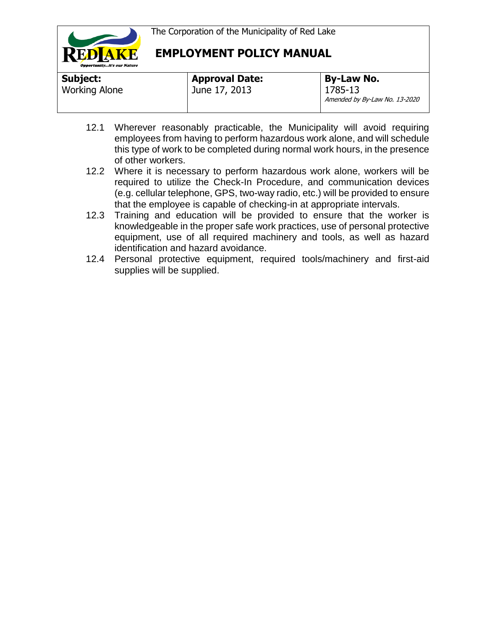

| Subject:             | <b>Approval Date:</b> | By-Law No.                               |
|----------------------|-----------------------|------------------------------------------|
| <b>Working Alone</b> | June 17, 2013         | 1785-13<br>Amended by By-Law No. 13-2020 |

- 12.1 Wherever reasonably practicable, the Municipality will avoid requiring employees from having to perform hazardous work alone, and will schedule this type of work to be completed during normal work hours, in the presence of other workers.
- 12.2 Where it is necessary to perform hazardous work alone, workers will be required to utilize the Check-In Procedure, and communication devices (e.g. cellular telephone, GPS, two-way radio, etc.) will be provided to ensure that the employee is capable of checking-in at appropriate intervals.
- 12.3 Training and education will be provided to ensure that the worker is knowledgeable in the proper safe work practices, use of personal protective equipment, use of all required machinery and tools, as well as hazard identification and hazard avoidance.
- 12.4 Personal protective equipment, required tools/machinery and first-aid supplies will be supplied.